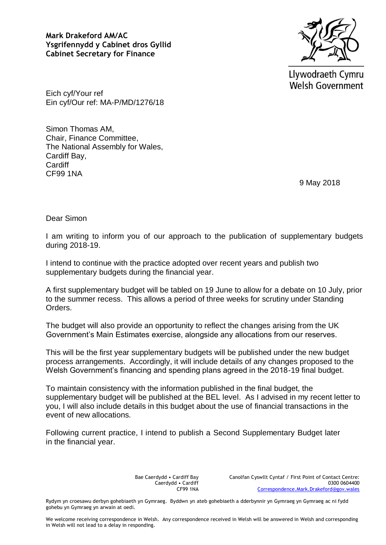**Mark Drakeford AM/AC Ysgrifennydd y Cabinet dros Gyllid Cabinet Secretary for Finance**



Llywodraeth Cymru **Welsh Government** 

Eich cyf/Your ref Ein cyf/Our ref: MA-P/MD/1276/18

Simon Thomas AM, Chair, Finance Committee, The National Assembly for Wales, Cardiff Bay, **Cardiff** CF99 1NA

9 May 2018

Dear Simon

I am writing to inform you of our approach to the publication of supplementary budgets during 2018-19.

I intend to continue with the practice adopted over recent years and publish two supplementary budgets during the financial year.

A first supplementary budget will be tabled on 19 June to allow for a debate on 10 July, prior to the summer recess. This allows a period of three weeks for scrutiny under Standing Orders.

The budget will also provide an opportunity to reflect the changes arising from the UK Government's Main Estimates exercise, alongside any allocations from our reserves.

This will be the first year supplementary budgets will be published under the new budget process arrangements. Accordingly, it will include details of any changes proposed to the Welsh Government's financing and spending plans agreed in the 2018-19 final budget.

To maintain consistency with the information published in the final budget, the supplementary budget will be published at the BEL level. As I advised in my recent letter to you, I will also include details in this budget about the use of financial transactions in the event of new allocations.

Following current practice, I intend to publish a Second Supplementary Budget later in the financial year.

> Bae Caerdydd • Cardiff Bay Caerdydd • Cardiff CF99 1NA

Canolfan Cyswllt Cyntaf / First Point of Contact Centre: 0300 0604400 [Correspondence.Mark.Drakeford@gov.wales](mailto:Correspondence.Mark.Drakeford@gov.wales)

Rydym yn croesawu derbyn gohebiaeth yn Gymraeg. Byddwn yn ateb gohebiaeth a dderbynnir yn Gymraeg yn Gymraeg ac ni fydd gohebu yn Gymraeg yn arwain at oedi.

We welcome receiving correspondence in Welsh. Any correspondence received in Welsh will be answered in Welsh and corresponding in Welsh will not lead to a delay in responding.